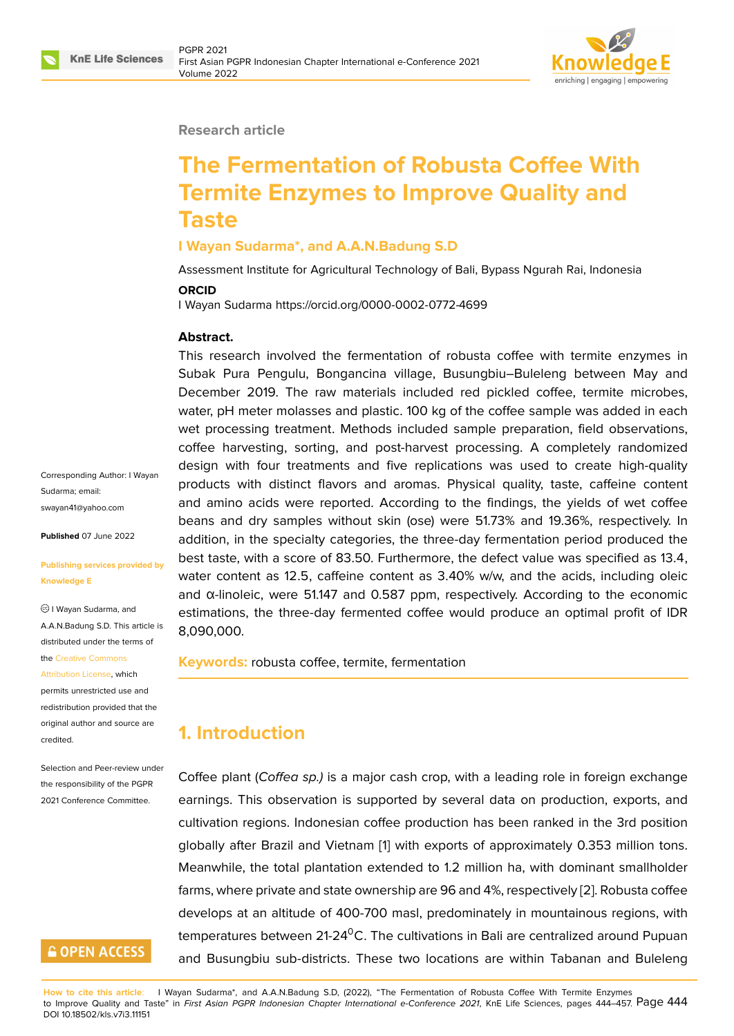

#### **Research article**

# **The Fermentation of Robusta Coffee With Termite Enzymes to Improve Quality and Taste**

#### **I Wayan Sudarma\*, and A.A.N.Badung S.D**

Assessment Institute for Agricultural Technology of Bali, Bypass Ngurah Rai, Indonesia

#### **ORCID**

I Wayan Sudarma https://orcid.org/0000-0002-0772-4699

#### **Abstract.**

This research involved the fermentation of robusta coffee with termite enzymes in Subak Pura Pengulu, Bongancina village, Busungbiu–Buleleng between May and December 2019. The raw materials included red pickled coffee, termite microbes, water, pH meter molasses and plastic. 100 kg of the coffee sample was added in each wet processing treatment. Methods included sample preparation, field observations, coffee harvesting, sorting, and post-harvest processing. A completely randomized design with four treatments and five replications was used to create high-quality products with distinct flavors and aromas. Physical quality, taste, caffeine content and amino acids were reported. According to the findings, the yields of wet coffee beans and dry samples without skin (ose) were 51.73% and 19.36%, respectively. In addition, in the specialty categories, the three-day fermentation period produced the best taste, with a score of 83.50. Furthermore, the defect value was specified as 13.4, water content as 12.5, caffeine content as 3.40% w/w, and the acids, including oleic and α-linoleic, were 51.147 and 0.587 ppm, respectively. According to the economic estimations, the three-day fermented coffee would produce an optimal profit of IDR 8,090,000.

**Keywords:** robusta coffee, termite, fermentation

# **1. Introduction**

Coffee plant (*Coffea sp.)* is a major cash crop, with a leading role in foreign exchange earnings. This observation is supported by several data on production, exports, and cultivation regions. Indonesian coffee production has been ranked in the 3rd position globally after Brazil and Vietnam [1] with exports of approximately 0.353 million tons. Meanwhile, the total plantation extended to 1.2 million ha, with dominant smallholder farms, where private and state ownership are 96 and 4%, respectively [2]. Robusta coffee develops at an altitude of 400-70[0](#page-11-0) masl, predominately in mountainous regions, with temperatures between 21-24 $\rm{^0C}$ . The cultivations in Bali are centralized around Pupuan and Busungbiu sub-districts. These two locations are within Taba[na](#page-11-1)n and Buleleng

Corresponding Author: I Wayan Sudarma; email: swayan41@yahoo.com

**Published** 07 June 2022

#### **[Publishing services pr](mailto:swayan41@yahoo.com)ovided by Knowledge E**

I Wayan Sudarma, and A.A.N.Badung S.D. This article is distributed under the terms of the Creative Commons

Attribution License, which permits unrestricted use and redistribution provided that the orig[inal author and sou](https://creativecommons.org/licenses/by/4.0/)rce are [credited.](https://creativecommons.org/licenses/by/4.0/)

Selection and Peer-review under the responsibility of the PGPR 2021 Conference Committee.

# **GOPEN ACCESS**

**How to cite this article**: I Wayan Sudarma\*, and A.A.N.Badung S.D, (2022), "The Fermentation of Robusta Coffee With Termite Enzymes to Improve Quality and Taste" in *First Asian PGPR Indonesian Chapter International e-Conference 2021*, KnE Life Sciences, pages 444–457. Page 444 DOI 10.18502/kls.v7i3.11151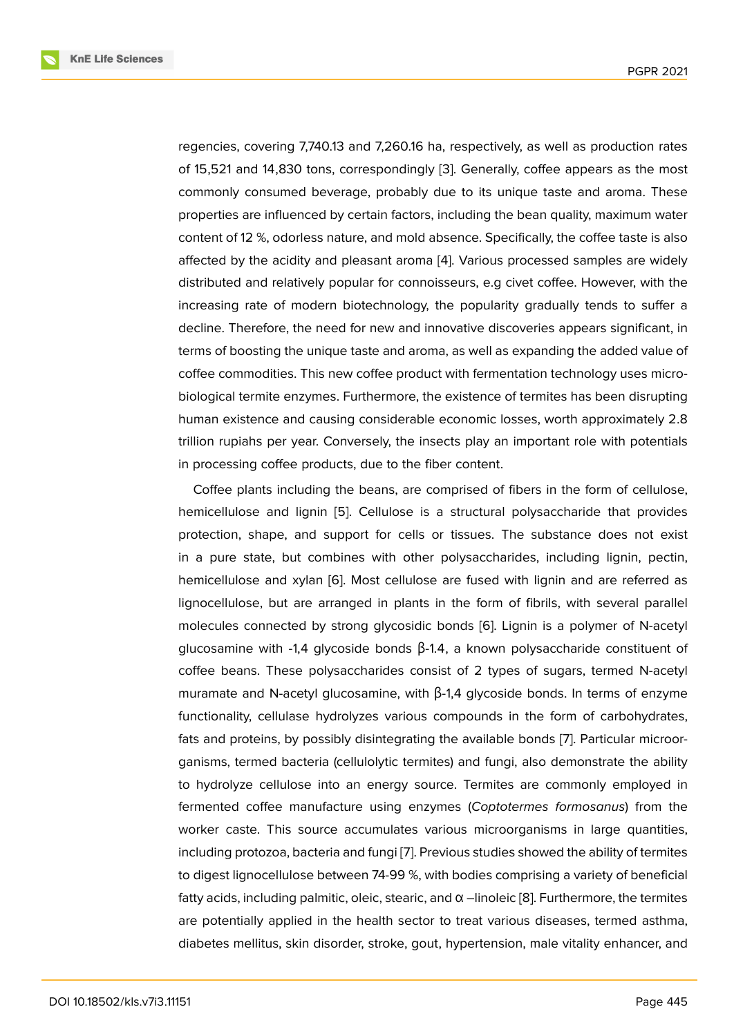regencies, covering 7,740.13 and 7,260.16 ha, respectively, as well as production rates of 15,521 and 14,830 tons, correspondingly [3]. Generally, coffee appears as the most commonly consumed beverage, probably due to its unique taste and aroma. These properties are influenced by certain factors, including the bean quality, maximum water content of 12 %, odorless nature, and mold a[bs](#page-11-2)ence. Specifically, the coffee taste is also affected by the acidity and pleasant aroma [4]. Various processed samples are widely distributed and relatively popular for connoisseurs, e.g civet coffee. However, with the increasing rate of modern biotechnology, the popularity gradually tends to suffer a decline. Therefore, the need for new and in[no](#page-11-3)vative discoveries appears significant, in terms of boosting the unique taste and aroma, as well as expanding the added value of coffee commodities. This new coffee product with fermentation technology uses microbiological termite enzymes. Furthermore, the existence of termites has been disrupting human existence and causing considerable economic losses, worth approximately 2.8 trillion rupiahs per year. Conversely, the insects play an important role with potentials in processing coffee products, due to the fiber content.

Coffee plants including the beans, are comprised of fibers in the form of cellulose, hemicellulose and lignin [5]. Cellulose is a structural polysaccharide that provides protection, shape, and support for cells or tissues. The substance does not exist in a pure state, but combines with other polysaccharides, including lignin, pectin, hemicellulose and xylan [[6\].](#page-11-4) Most cellulose are fused with lignin and are referred as lignocellulose, but are arranged in plants in the form of fibrils, with several parallel molecules connected by strong glycosidic bonds [6]. Lignin is a polymer of N-acetyl glu[co](#page-11-5)samine with -1,4 glycoside bonds  $β$ -1.4, a known polysaccharide constituent of coffee beans. These polysaccharides consist of 2 types of sugars, termed N-acetyl muramate and N-acetyl glucosamine, with β-1,4 gl[yco](#page-11-5)side bonds. In terms of enzyme functionality, cellulase hydrolyzes various compounds in the form of carbohydrates, fats and proteins, by possibly disintegrating the available bonds [7]. Particular microorganisms, termed bacteria (cellulolytic termites) and fungi, also demonstrate the ability to hydrolyze cellulose into an energy source. Termites are commonly employed in fermented coffee manufacture using enzymes (*Coptotermes f[or](#page-11-6)mosanus*) from the worker caste. This source accumulates various microorganisms in large quantities, including protozoa, bacteria and fungi [7]. Previous studies showed the ability of termites to digest lignocellulose between 74-99 %, with bodies comprising a variety of beneficial fatty acids, including palmitic, oleic, stearic, and α –linoleic [8]. Furthermore, the termites are potentially applied in the health [se](#page-11-6)ctor to treat various diseases, termed asthma, diabetes mellitus, skin disorder, stroke, gout, hypertension, male vitality enhancer, and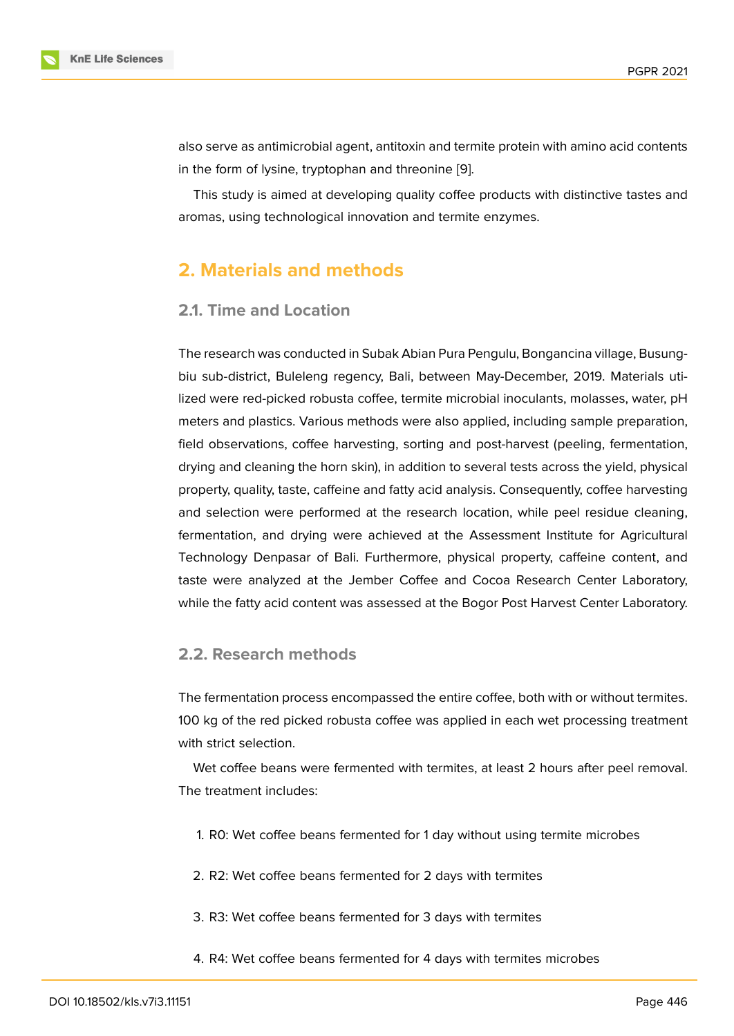also serve as antimicrobial agent, antitoxin and termite protein with amino acid contents in the form of lysine, tryptophan and threonine [9].

This study is aimed at developing quality coffee products with distinctive tastes and aromas, using technological innovation and termite enzymes.

# **2. Materials and methods**

### **2.1. Time and Location**

The research was conducted in Subak Abian Pura Pengulu, Bongancina village, Busungbiu sub-district, Buleleng regency, Bali, between May-December, 2019. Materials utilized were red-picked robusta coffee, termite microbial inoculants, molasses, water, pH meters and plastics. Various methods were also applied, including sample preparation, field observations, coffee harvesting, sorting and post-harvest (peeling, fermentation, drying and cleaning the horn skin), in addition to several tests across the yield, physical property, quality, taste, caffeine and fatty acid analysis. Consequently, coffee harvesting and selection were performed at the research location, while peel residue cleaning, fermentation, and drying were achieved at the Assessment Institute for Agricultural Technology Denpasar of Bali. Furthermore, physical property, caffeine content, and taste were analyzed at the Jember Coffee and Cocoa Research Center Laboratory, while the fatty acid content was assessed at the Bogor Post Harvest Center Laboratory.

### **2.2. Research methods**

The fermentation process encompassed the entire coffee, both with or without termites. 100 kg of the red picked robusta coffee was applied in each wet processing treatment with strict selection.

Wet coffee beans were fermented with termites, at least 2 hours after peel removal. The treatment includes:

- 1. R0: Wet coffee beans fermented for 1 day without using termite microbes
- 2. R2: Wet coffee beans fermented for 2 days with termites
- 3. R3: Wet coffee beans fermented for 3 days with termites
- 4. R4: Wet coffee beans fermented for 4 days with termites microbes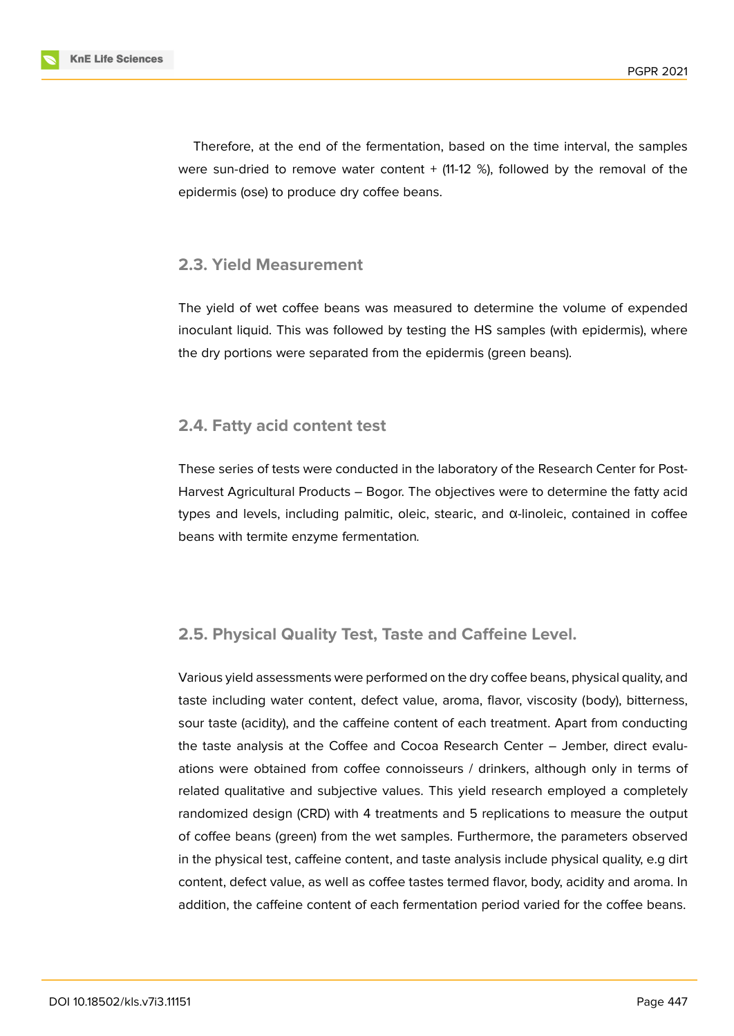

Therefore, at the end of the fermentation, based on the time interval, the samples were sun-dried to remove water content  $+$  (11-12 %), followed by the removal of the epidermis (ose) to produce dry coffee beans.

#### **2.3. Yield Measurement**

The yield of wet coffee beans was measured to determine the volume of expended inoculant liquid. This was followed by testing the HS samples (with epidermis), where the dry portions were separated from the epidermis (green beans).

#### **2.4. Fatty acid content test**

These series of tests were conducted in the laboratory of the Research Center for Post-Harvest Agricultural Products – Bogor. The objectives were to determine the fatty acid types and levels, including palmitic, oleic, stearic, and α-linoleic, contained in coffee beans with termite enzyme fermentation*.*

#### **2.5. Physical Quality Test, Taste and Caffeine Level.**

Various yield assessments were performed on the dry coffee beans, physical quality, and taste including water content, defect value, aroma, flavor, viscosity (body), bitterness, sour taste (acidity), and the caffeine content of each treatment. Apart from conducting the taste analysis at the Coffee and Cocoa Research Center – Jember, direct evaluations were obtained from coffee connoisseurs / drinkers, although only in terms of related qualitative and subjective values. This yield research employed a completely randomized design (CRD) with 4 treatments and 5 replications to measure the output of coffee beans (green) from the wet samples. Furthermore, the parameters observed in the physical test, caffeine content, and taste analysis include physical quality, e.g dirt content, defect value, as well as coffee tastes termed flavor, body, acidity and aroma. In addition, the caffeine content of each fermentation period varied for the coffee beans.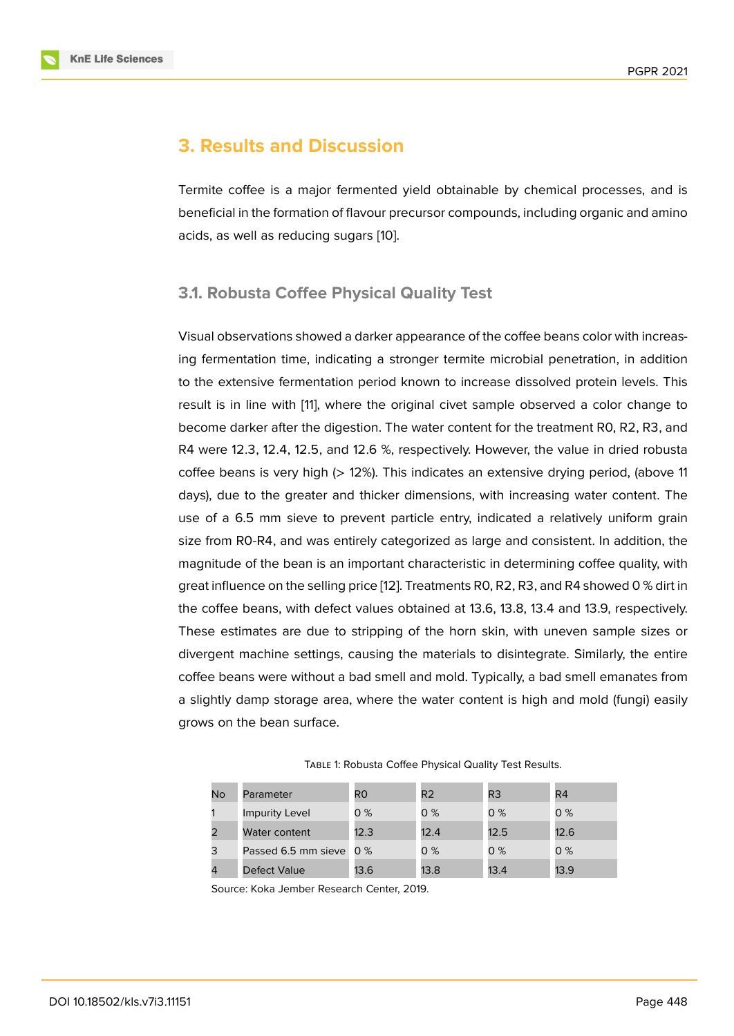# **3. Results and Discussion**

Termite coffee is a major fermented yield obtainable by chemical processes, and is beneficial in the formation of flavour precursor compounds, including organic and amino acids, as well as reducing sugars [10].

### **3.1. Robusta Coffee Physi[cal](#page-12-0) Quality Test**

Visual observations showed a darker appearance of the coffee beans color with increasing fermentation time, indicating a stronger termite microbial penetration, in addition to the extensive fermentation period known to increase dissolved protein levels. This result is in line with [11], where the original civet sample observed a color change to become darker after the digestion. The water content for the treatment R0, R2, R3, and R4 were 12.3, 12.4, 12.5, and 12.6 %, respectively. However, the value in dried robusta coffee beans is very [hig](#page-12-1)h (> 12%). This indicates an extensive drying period, (above 11 days), due to the greater and thicker dimensions, with increasing water content. The use of a 6.5 mm sieve to prevent particle entry, indicated a relatively uniform grain size from R0-R4, and was entirely categorized as large and consistent. In addition, the magnitude of the bean is an important characteristic in determining coffee quality, with great influence on the selling price [12]. Treatments R0, R2, R3, and R4 showed 0 % dirt in the coffee beans, with defect values obtained at 13.6, 13.8, 13.4 and 13.9, respectively. These estimates are due to stripping of the horn skin, with uneven sample sizes or divergent machine settings, causi[ng](#page-12-2) the materials to disintegrate. Similarly, the entire coffee beans were without a bad smell and mold. Typically, a bad smell emanates from a slightly damp storage area, where the water content is high and mold (fungi) easily grows on the bean surface.

| No | Parameter               | R0   | R <sub>2</sub> | R <sub>3</sub> | R <sub>4</sub> |
|----|-------------------------|------|----------------|----------------|----------------|
|    | <b>Impurity Level</b>   | 0%   | 0%             | 0%             | 0%             |
| 2  | Water content           | 12.3 | 12.4           | 12.5           | 12.6           |
| 3  | Passed 6.5 mm sieve 0 % |      | 0%             | $0\%$          | 0%             |
| 4  | Defect Value            | 13.6 | 13.8           | 13.4           | 13.9           |

Table 1: Robusta Coffee Physical Quality Test Results.

Source: Koka Jember Research Center, 2019.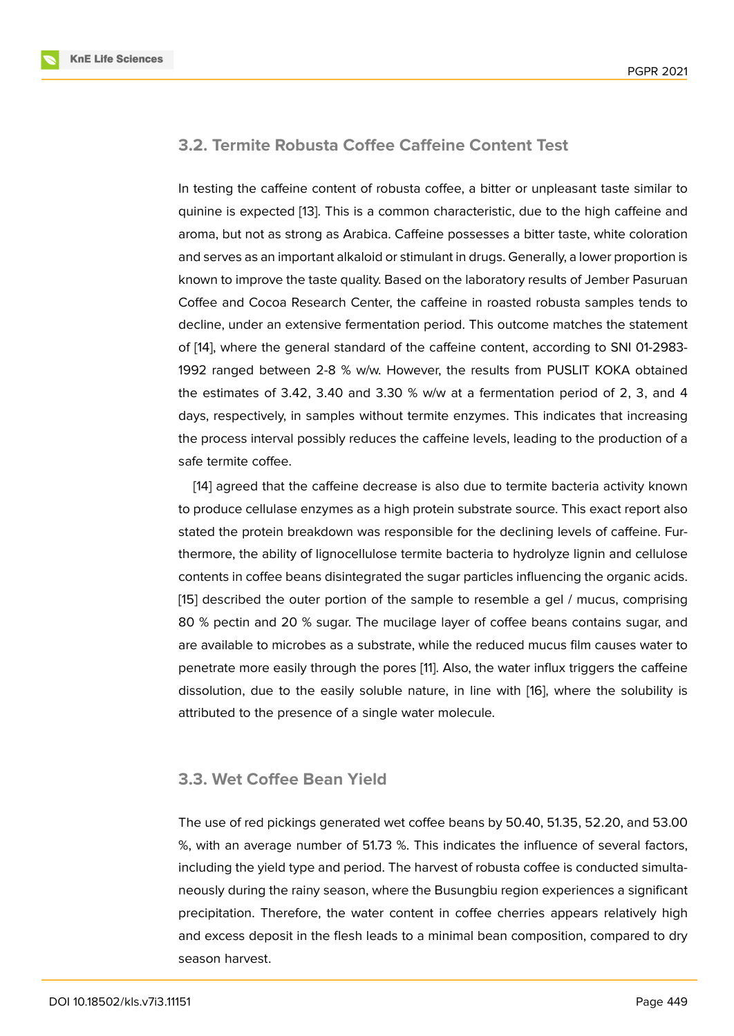#### **3.2. Termite Robusta Coffee Caffeine Content Test**

In testing the caffeine content of robusta coffee, a bitter or unpleasant taste similar to quinine is expected [13]. This is a common characteristic, due to the high caffeine and aroma, but not as strong as Arabica. Caffeine possesses a bitter taste, white coloration and serves as an important alkaloid or stimulant in drugs. Generally, a lower proportion is known to improve th[e ta](#page-12-3)ste quality. Based on the laboratory results of Jember Pasuruan Coffee and Cocoa Research Center, the caffeine in roasted robusta samples tends to decline, under an extensive fermentation period. This outcome matches the statement of [14], where the general standard of the caffeine content, according to SNI 01-2983- 1992 ranged between 2-8 % w/w. However, the results from PUSLIT KOKA obtained the estimates of 3.42, 3.40 and 3.30 % w/w at a fermentation period of 2, 3, and 4 da[ys,](#page-12-4) respectively, in samples without termite enzymes. This indicates that increasing the process interval possibly reduces the caffeine levels, leading to the production of a safe termite coffee.

[14] agreed that the caffeine decrease is also due to termite bacteria activity known to produce cellulase enzymes as a high protein substrate source. This exact report also stated the protein breakdown was responsible for the declining levels of caffeine. Furth[erm](#page-12-4)ore, the ability of lignocellulose termite bacteria to hydrolyze lignin and cellulose contents in coffee beans disintegrated the sugar particles influencing the organic acids. [15] described the outer portion of the sample to resemble a gel / mucus, comprising 80 % pectin and 20 % sugar. The mucilage layer of coffee beans contains sugar, and are available to microbes as a substrate, while the reduced mucus film causes water to [pen](#page-12-5)etrate more easily through the pores [11]. Also, the water influx triggers the caffeine dissolution, due to the easily soluble nature, in line with [16], where the solubility is attributed to the presence of a single water molecule.

#### **3.3. Wet Coffee Bean Yield**

The use of red pickings generated wet coffee beans by 50.40, 51.35, 52.20, and 53.00 %, with an average number of 51.73 %. This indicates the influence of several factors, including the yield type and period. The harvest of robusta coffee is conducted simultaneously during the rainy season, where the Busungbiu region experiences a significant precipitation. Therefore, the water content in coffee cherries appears relatively high and excess deposit in the flesh leads to a minimal bean composition, compared to dry season harvest.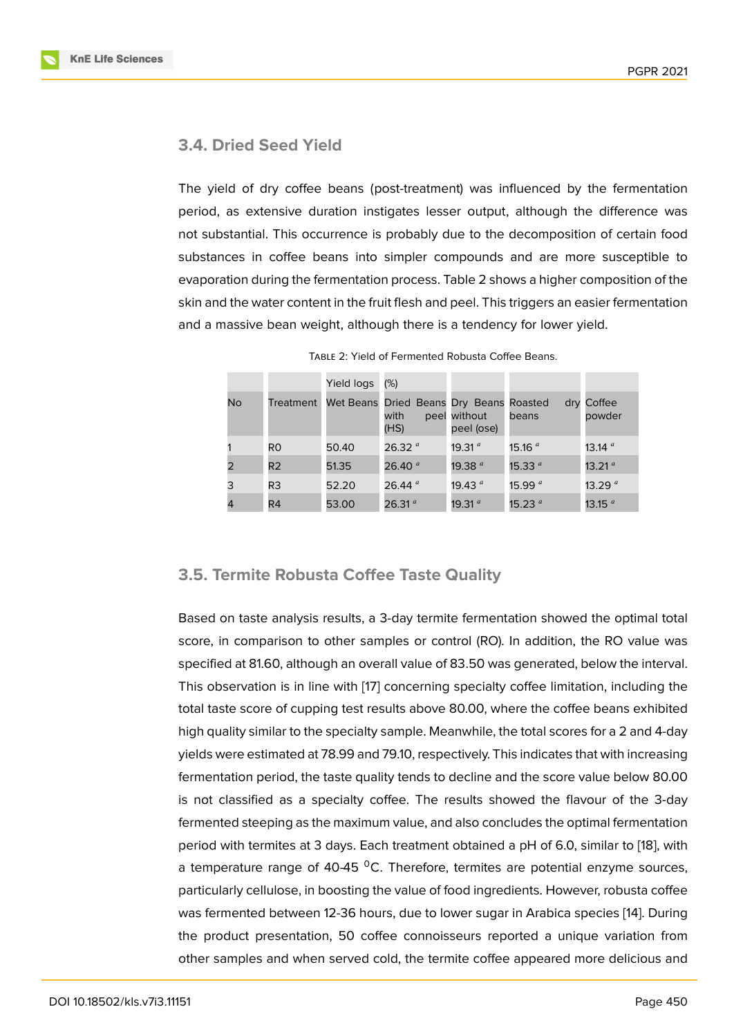### **3.4. Dried Seed Yield**

The yield of dry coffee beans (post-treatment) was influenced by the fermentation period, as extensive duration instigates lesser output, although the difference was not substantial. This occurrence is probably due to the decomposition of certain food substances in coffee beans into simpler compounds and are more susceptible to evaporation during the fermentation process. Table 2 shows a higher composition of the skin and the water content in the fruit flesh and peel. This triggers an easier fermentation and a massive bean weight, although there is a tendency for lower yield.

|    |                | Yield logs | (%)                                                     |                            |                    |                      |
|----|----------------|------------|---------------------------------------------------------|----------------------------|--------------------|----------------------|
| No | Treatment      |            | Wet Beans Dried Beans Dry Beans Roasted<br>with<br>(HS) | peel without<br>peel (ose) | beans              | dry Coffee<br>powder |
|    | R <sub>0</sub> | 50.40      | 26.32 $a$                                               | 19.31 $a$                  | 15.16 <sup>a</sup> | 13.14 <sup>a</sup>   |
| 2  | R <sub>2</sub> | 51.35      | 26.40 $a$                                               | 19.38 $a$                  | 15.33 $a$          | 13.21 $a$            |
| 3  | R <sub>3</sub> | 52.20      | 26.44 $a$                                               | 19.43 $a$                  | 15.99 $a$          | 13.29 $a$            |
|    | R <sub>4</sub> | 53.00      | 26.31 $a$                                               | 19.31 $a$                  | 15.23 <sup>a</sup> | 13.15 <sup>a</sup>   |

### **3.5. Termite Robusta Coffee Taste Quality**

Based on taste analysis results, a 3-day termite fermentation showed the optimal total score, in comparison to other samples or control (RO). In addition, the RO value was specified at 81.60, although an overall value of 83.50 was generated, below the interval. This observation is in line with [17] concerning specialty coffee limitation, including the total taste score of cupping test results above 80.00, where the coffee beans exhibited high quality similar to the specialty sample. Meanwhile, the total scores for a 2 and 4-day yields were estimated at 78.99 a[nd](#page-12-6) 79.10, respectively. This indicates that with increasing fermentation period, the taste quality tends to decline and the score value below 80.00 is not classified as a specialty coffee. The results showed the flavour of the 3-day fermented steeping as the maximum value, and also concludes the optimal fermentation period with termites at 3 days. Each treatment obtained a pH of 6.0, similar to [18], with a temperature range of 40-45  $^{\circ}$ C. Therefore, termites are potential enzyme sources, particularly cellulose, in boosting the value of food ingredients. However, robusta coffee was fermented between 12-36 hours, due to lower sugar in Arabica species [14[\]. D](#page-12-7)uring the product presentation, 50 coffee connoisseurs reported a unique variation from other samples and when served cold, the termite coffee appeared more delicious and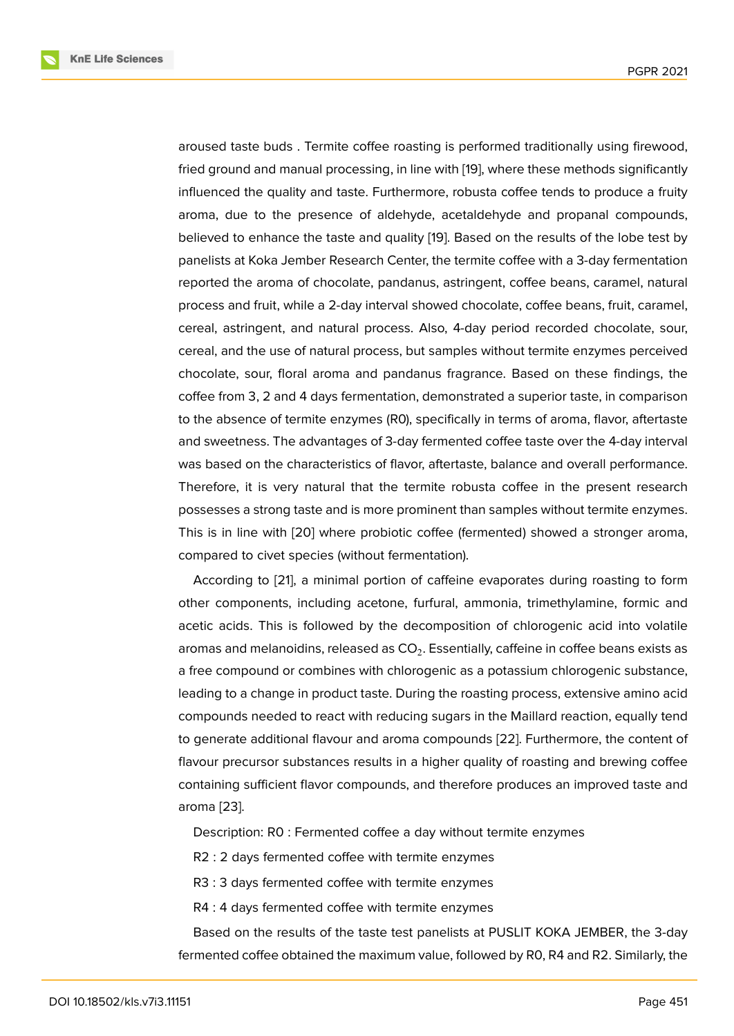aroused taste buds . Termite coffee roasting is performed traditionally using firewood, fried ground and manual processing, in line with [19], where these methods significantly influenced the quality and taste. Furthermore, robusta coffee tends to produce a fruity aroma, due to the presence of aldehyde, acetaldehyde and propanal compounds, believed to enhance the taste and quality [19]. B[ase](#page-12-8)d on the results of the lobe test by panelists at Koka Jember Research Center, the termite coffee with a 3-day fermentation reported the aroma of chocolate, pandanus, astringent, coffee beans, caramel, natural process and fruit, while a 2-day interval sh[owe](#page-12-8)d chocolate, coffee beans, fruit, caramel, cereal, astringent, and natural process. Also, 4-day period recorded chocolate, sour, cereal, and the use of natural process, but samples without termite enzymes perceived chocolate, sour, floral aroma and pandanus fragrance. Based on these findings, the coffee from 3, 2 and 4 days fermentation, demonstrated a superior taste, in comparison to the absence of termite enzymes (R0), specifically in terms of aroma, flavor, aftertaste and sweetness. The advantages of 3-day fermented coffee taste over the 4-day interval was based on the characteristics of flavor, aftertaste, balance and overall performance. Therefore, it is very natural that the termite robusta coffee in the present research possesses a strong taste and is more prominent than samples without termite enzymes. This is in line with [20] where probiotic coffee (fermented) showed a stronger aroma, compared to civet species (without fermentation).

According to [21], a minimal portion of caffeine evaporates during roasting to form other components, [inc](#page-13-0)luding acetone, furfural, ammonia, trimethylamine, formic and acetic acids. This is followed by the decomposition of chlorogenic acid into volatile aromas and mel[ano](#page-13-1)idins, released as  $\mathsf{CO}_2.$  Essentially, caffeine in coffee beans exists as a free compound or combines with chlorogenic as a potassium chlorogenic substance, leading to a change in product taste. During the roasting process, extensive amino acid compounds needed to react with reducing sugars in the Maillard reaction, equally tend to generate additional flavour and aroma compounds [22]. Furthermore, the content of flavour precursor substances results in a higher quality of roasting and brewing coffee containing sufficient flavor compounds, and therefore produces an improved taste and aroma [23].

Description: R0 : Fermented coffee a day without termite enzymes

R2 : [2 d](#page-13-2)ays fermented coffee with termite enzymes

R3 : 3 days fermented coffee with termite enzymes

R4 : 4 days fermented coffee with termite enzymes

Based on the results of the taste test panelists at PUSLIT KOKA JEMBER, the 3-day fermented coffee obtained the maximum value, followed by R0, R4 and R2. Similarly, the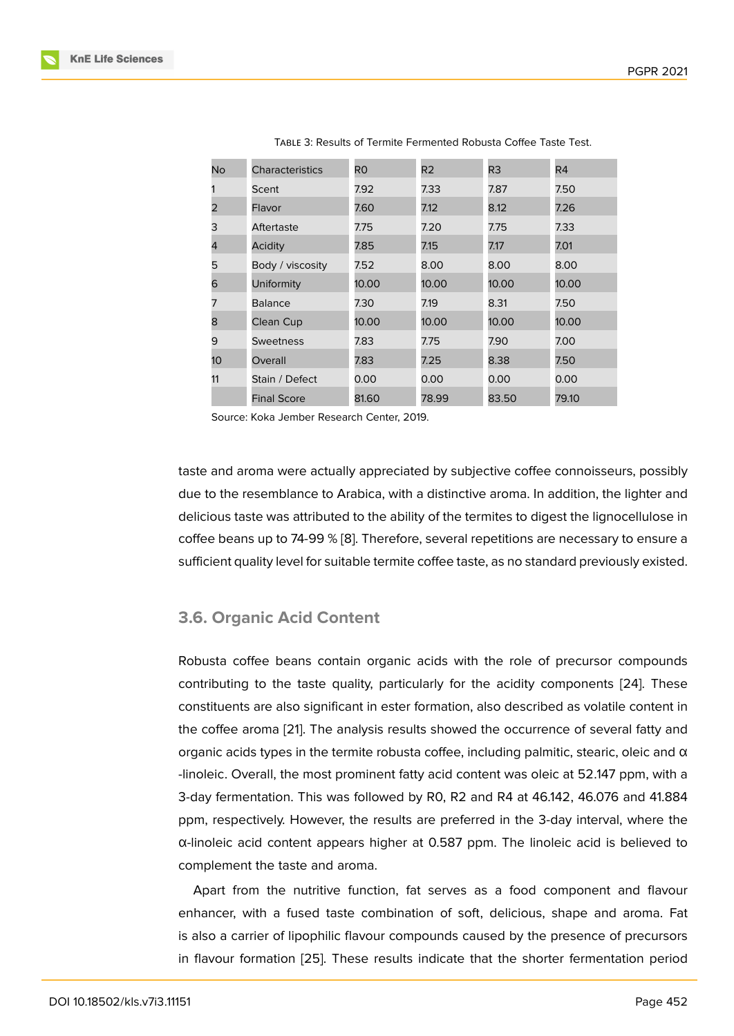| No.             | <b>Characteristics</b> | R <sub>0</sub> | R2    | R3    | R4    |
|-----------------|------------------------|----------------|-------|-------|-------|
|                 | Scent                  | 7.92           | 7.33  | 7.87  | 7.50  |
| 2               | Flavor                 | 7.60           | 7.12  | 8.12  | 7.26  |
| 3               | Aftertaste             | 7.75           | 7.20  | 7.75  | 7.33  |
| 4               | Acidity                | 7.85           | 7.15  | 7.17  | 7.01  |
| 5               | Body / viscosity       | 7.52           | 8.00  | 8.00  | 8.00  |
| 6               | Uniformity             | 10.00          | 10.00 | 10.00 | 10.00 |
| 7               | <b>Balance</b>         | 7.30           | 7.19  | 8.31  | 7.50  |
| 8               | Clean Cup              | 10.00          | 10.00 | 10.00 | 10.00 |
| 9               | <b>Sweetness</b>       | 7.83           | 7.75  | 7.90  | 7.00  |
| 10 <sup>°</sup> | Overall                | 7.83           | 7.25  | 8.38  | 7.50  |
| 11              | Stain / Defect         | 0.00           | 0.00  | 0.00  | 0.00  |
|                 | <b>Final Score</b>     | 81.60          | 78.99 | 83.50 | 79.10 |

| TABLE 3: Results of Termite Fermented Robusta Coffee Taste Test. |  |  |  |
|------------------------------------------------------------------|--|--|--|
|------------------------------------------------------------------|--|--|--|

Source: Koka Jember Research Center, 2019.

taste and aroma were actually appreciated by subjective coffee connoisseurs, possibly due to the resemblance to Arabica, with a distinctive aroma. In addition, the lighter and delicious taste was attributed to the ability of the termites to digest the lignocellulose in coffee beans up to 74-99 % [8]. Therefore, several repetitions are necessary to ensure a sufficient quality level for suitable termite coffee taste, as no standard previously existed.

#### **3.6. Organic Acid Content**

Robusta coffee beans contain organic acids with the role of precursor compounds contributing to the taste quality, particularly for the acidity components [24]. These constituents are also significant in ester formation, also described as volatile content in the coffee aroma [21]. The analysis results showed the occurrence of several fatty and organic acids types in the termite robusta coffee, including palmitic, stearic, [ole](#page-13-3)ic and  $\alpha$ -linoleic. Overall, the most prominent fatty acid content was oleic at 52.147 ppm, with a 3-day fermentatio[n. T](#page-13-1)his was followed by R0, R2 and R4 at 46.142, 46.076 and 41.884 ppm, respectively. However, the results are preferred in the 3-day interval, where the α-linoleic acid content appears higher at 0.587 ppm. The linoleic acid is believed to complement the taste and aroma.

Apart from the nutritive function, fat serves as a food component and flavour enhancer, with a fused taste combination of soft, delicious, shape and aroma. Fat is also a carrier of lipophilic flavour compounds caused by the presence of precursors in flavour formation [25]. These results indicate that the shorter fermentation period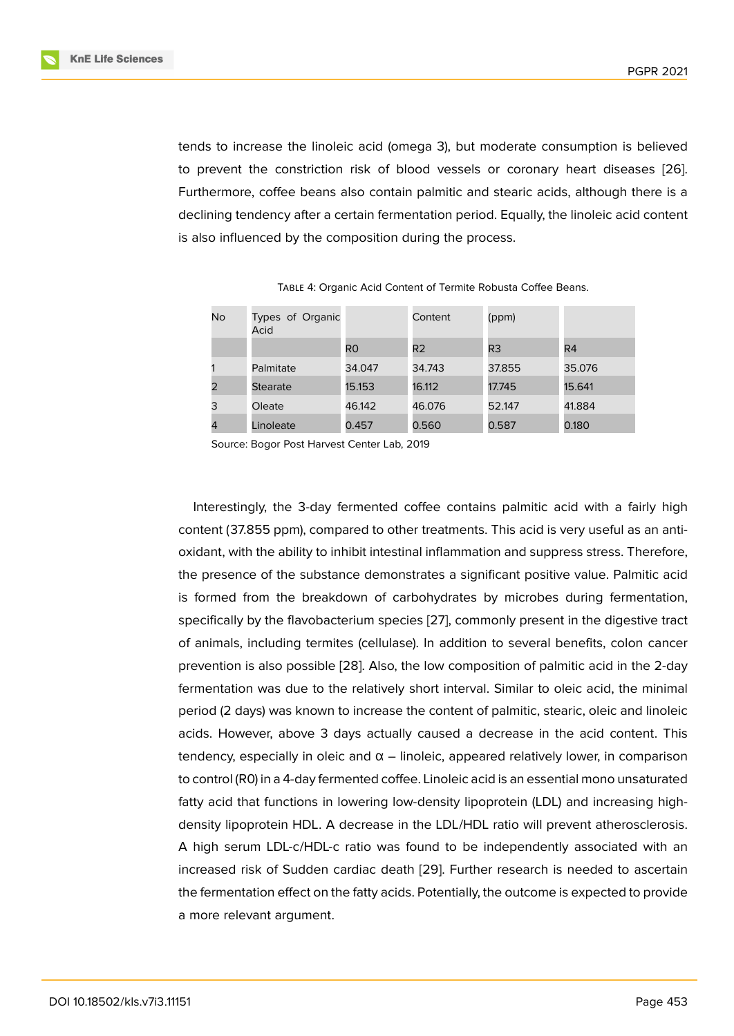tends to increase the linoleic acid (omega 3), but moderate consumption is believed to prevent the constriction risk of blood vessels or coronary heart diseases [26]. Furthermore, coffee beans also contain palmitic and stearic acids, although there is a declining tendency after a certain fermentation period. Equally, the linoleic acid content is also influenced by the composition during the process.

| No | Types of Organic<br>Acid |                | Content        | (ppm)          |                |
|----|--------------------------|----------------|----------------|----------------|----------------|
|    |                          | R <sub>0</sub> | R <sub>2</sub> | R <sub>3</sub> | R <sub>4</sub> |
|    | Palmitate                | 34.047         | 34.743         | 37.855         | 35.076         |
|    | <b>Stearate</b>          | 15.153         | 16.112         | 17.745         | 15.641         |
| 3  | Oleate                   | 46.142         | 46.076         | 52.147         | 41.884         |
| 4  | Linoleate                | 0.457          | 0.560          | 0.587          | 0.180          |

Table 4: Organic Acid Content of Termite Robusta Coffee Beans.

Source: Bogor Post Harvest Center Lab, 2019

Interestingly, the 3-day fermented coffee contains palmitic acid with a fairly high content (37.855 ppm), compared to other treatments. This acid is very useful as an antioxidant, with the ability to inhibit intestinal inflammation and suppress stress. Therefore, the presence of the substance demonstrates a significant positive value. Palmitic acid is formed from the breakdown of carbohydrates by microbes during fermentation, specifically by the flavobacterium species [27], commonly present in the digestive tract of animals, including termites (cellulase). In addition to several benefits, colon cancer prevention is also possible [28]. Also, the low composition of palmitic acid in the 2-day fermentation was due to the relatively sh[ort i](#page-13-4)nterval. Similar to oleic acid, the minimal period (2 days) was known to increase the content of palmitic, stearic, oleic and linoleic acids. However, above 3 d[ays](#page-13-5) actually caused a decrease in the acid content. This tendency, especially in oleic and  $\alpha$  – linoleic, appeared relatively lower, in comparison to control (R0) in a 4-day fermented coffee. Linoleic acid is an essential mono unsaturated fatty acid that functions in lowering low-density lipoprotein (LDL) and increasing highdensity lipoprotein HDL. A decrease in the LDL/HDL ratio will prevent atherosclerosis. A high serum LDL-c/HDL-c ratio was found to be independently associated with an increased risk of Sudden cardiac death [29]. Further research is needed to ascertain the fermentation effect on the fatty acids. Potentially, the outcome is expected to provide a more relevant argument.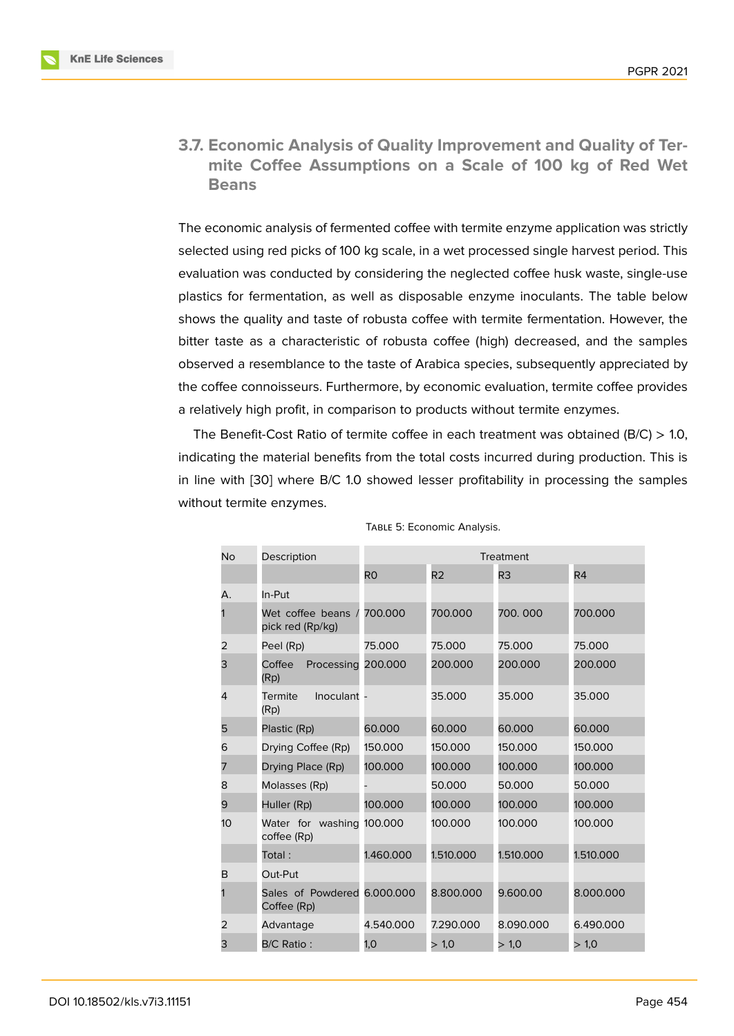**3.7. Economic Analysis of Quality Improvement and Quality of Termite Coffee Assumptions on a Scale of 100 kg of Red Wet Beans**

The economic analysis of fermented coffee with termite enzyme application was strictly selected using red picks of 100 kg scale, in a wet processed single harvest period. This evaluation was conducted by considering the neglected coffee husk waste, single-use plastics for fermentation, as well as disposable enzyme inoculants. The table below shows the quality and taste of robusta coffee with termite fermentation. However, the bitter taste as a characteristic of robusta coffee (high) decreased, and the samples observed a resemblance to the taste of Arabica species, subsequently appreciated by the coffee connoisseurs. Furthermore, by economic evaluation, termite coffee provides a relatively high profit, in comparison to products without termite enzymes.

The Benefit-Cost Ratio of termite coffee in each treatment was obtained ( $B/C$ ) > 1.0, indicating the material benefits from the total costs incurred during production. This is in line with [30] where B/C 1.0 showed lesser profitability in processing the samples without termite enzymes.

| No | Description                                | Treatment      |                |                |                |
|----|--------------------------------------------|----------------|----------------|----------------|----------------|
|    |                                            | R <sub>0</sub> | R <sub>2</sub> | R <sub>3</sub> | R <sub>4</sub> |
| А. | In-Put                                     |                |                |                |                |
|    | Wet coffee beans /<br>pick red (Rp/kg)     | 700.000        | 700.000        | 700, 000       | 700.000        |
| 2  | Peel (Rp)                                  | 75.000         | 75.000         | 75.000         | 75.000         |
| 3  | Coffee<br>Processing 200.000<br>(Rp)       |                | 200.000        | 200.000        | 200.000        |
| 4  | Inoculant -<br><b>Termite</b><br>(Rp)      |                | 35.000         | 35.000         | 35.000         |
| 5  | Plastic (Rp)                               | 60.000         | 60.000         | 60.000         | 60.000         |
| 6  | Drying Coffee (Rp)                         | 150.000        | 150.000        | 150.000        | 150.000        |
| 7  | Drying Place (Rp)                          | 100.000        | 100.000        | 100.000        | 100.000        |
| 8  | Molasses (Rp)                              |                | 50.000         | 50.000         | 50.000         |
| 9  | Huller (Rp)                                | 100.000        | 100.000        | 100.000        | 100.000        |
| 10 | Water for washing<br>coffee (Rp)           | 100.000        | 100.000        | 100.000        | 100.000        |
|    | Total:                                     | 1.460.000      | 1.510.000      | 1.510.000      | 1.510.000      |
| B  | Out-Put                                    |                |                |                |                |
|    | Sales of Powdered 6,000,000<br>Coffee (Rp) |                | 8.800.000      | 9.600.00       | 8.000.000      |
| 2  | Advantage                                  | 4.540.000      | 7.290.000      | 8.090.000      | 6.490.000      |
| 3  | B/C Ratio:                                 | 1,0            | > 1,0          | > 1,0          | > 1,0          |

|  |  | TABLE 5: Economic Analysis. |  |  |
|--|--|-----------------------------|--|--|
|--|--|-----------------------------|--|--|

**Contract Contract**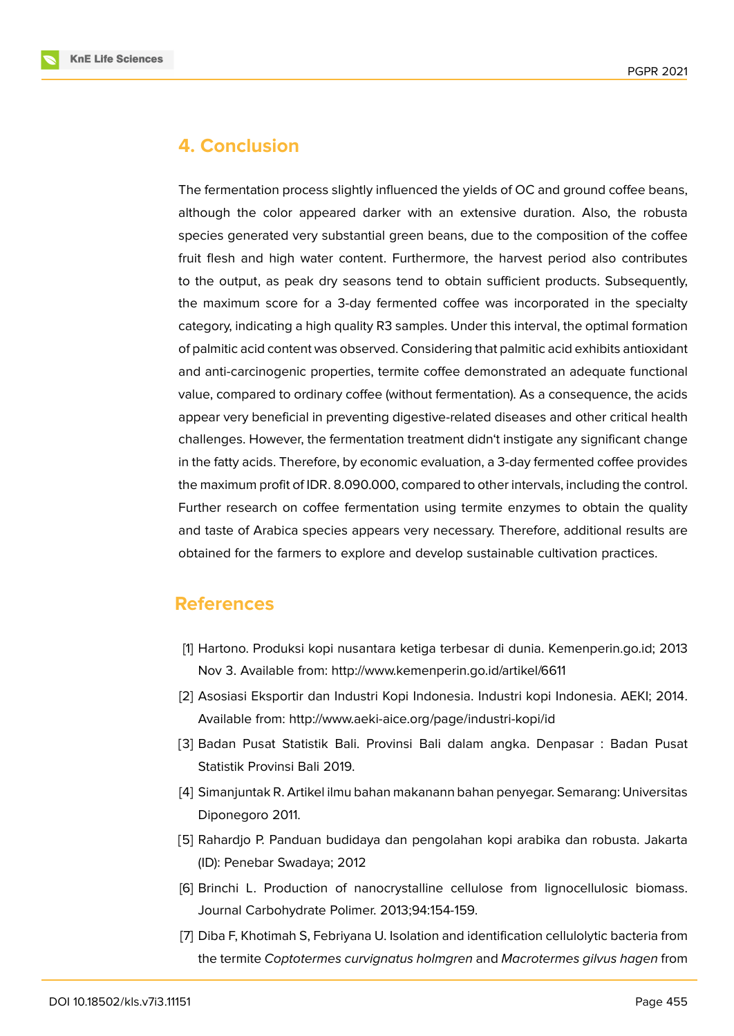

## **4. Conclusion**

The fermentation process slightly influenced the yields of OC and ground coffee beans, although the color appeared darker with an extensive duration. Also, the robusta species generated very substantial green beans, due to the composition of the coffee fruit flesh and high water content. Furthermore, the harvest period also contributes to the output, as peak dry seasons tend to obtain sufficient products. Subsequently, the maximum score for a 3-day fermented coffee was incorporated in the specialty category, indicating a high quality R3 samples. Under this interval, the optimal formation of palmitic acid content was observed. Considering that palmitic acid exhibits antioxidant and anti-carcinogenic properties, termite coffee demonstrated an adequate functional value, compared to ordinary coffee (without fermentation). As a consequence, the acids appear very beneficial in preventing digestive-related diseases and other critical health challenges. However, the fermentation treatment didn't instigate any significant change in the fatty acids. Therefore, by economic evaluation, a 3-day fermented coffee provides the maximum profit of IDR. 8.090.000, compared to other intervals, including the control. Further research on coffee fermentation using termite enzymes to obtain the quality and taste of Arabica species appears very necessary. Therefore, additional results are obtained for the farmers to explore and develop sustainable cultivation practices.

### **References**

- <span id="page-11-0"></span>[1] Hartono. Produksi kopi nusantara ketiga terbesar di dunia. Kemenperin.go.id; 2013 Nov 3. Available from: http://www.kemenperin.go.id/artikel/6611
- <span id="page-11-1"></span>[2] Asosiasi Eksportir dan Industri Kopi Indonesia. Industri kopi Indonesia. AEKI; 2014. Available from: http://www.aeki-aice.org/page/industri-kopi/id
- <span id="page-11-2"></span>[3] Badan Pusat Statistik Bali. Provinsi Bali dalam angka. Denpasar : Badan Pusat Statistik Provinsi Bali 2019.
- <span id="page-11-3"></span>[4] Simanjuntak R. Artikel ilmu bahan makanann bahan penyegar. Semarang: Universitas Diponegoro 2011.
- <span id="page-11-4"></span>[5] Rahardjo P. Panduan budidaya dan pengolahan kopi arabika dan robusta. Jakarta (ID): Penebar Swadaya; 2012
- <span id="page-11-5"></span>[6] Brinchi L. Production of nanocrystalline cellulose from lignocellulosic biomass. Journal Carbohydrate Polimer. 2013;94:154-159.
- <span id="page-11-6"></span>[7] Diba F, Khotimah S, Febriyana U. Isolation and identification cellulolytic bacteria from the termite *Coptotermes curvignatus holmgren* and *Macrotermes gilvus hagen* from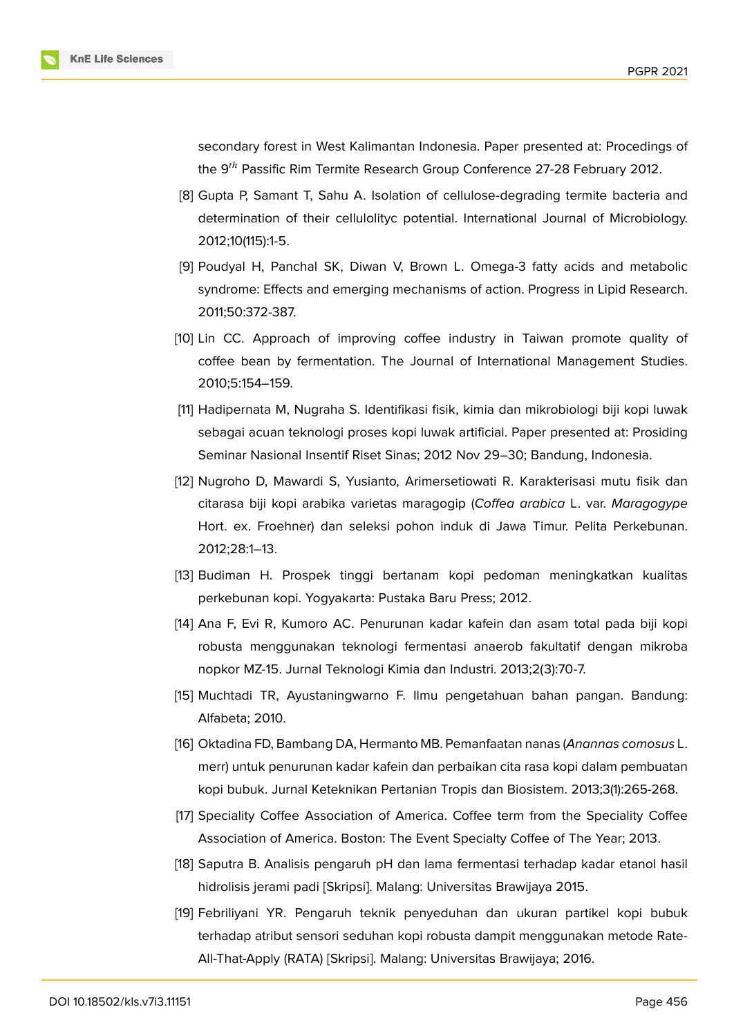

secondary forest in West Kalimantan Indonesia. Paper presented at: Procedings of the 9<sup>th</sup> Passific Rim Termite Research Group Conference 27-28 February 2012.

- [8] Gupta P, Samant T, Sahu A. Isolation of cellulose-degrading termite bacteria and determination of their cellulolityc potential. International Journal of Microbiology. 2012;10(115):1-5.
- [9] Poudyal H, Panchal SK, Diwan V, Brown L. Omega-3 fatty acids and metabolic syndrome: Effects and emerging mechanisms of action. Progress in Lipid Research. 2011;50:372-387.
- <span id="page-12-0"></span>[10] Lin CC. Approach of improving coffee industry in Taiwan promote quality of coffee bean by fermentation. The Journal of International Management Studies. 2010;5:154–159.
- <span id="page-12-1"></span>[11] Hadipernata M, Nugraha S. Identifikasi fisik, kimia dan mikrobiologi biji kopi luwak sebagai acuan teknologi proses kopi luwak artificial. Paper presented at: Prosiding Seminar Nasional Insentif Riset Sinas; 2012 Nov 29–30; Bandung, Indonesia.
- <span id="page-12-2"></span>[12] Nugroho D, Mawardi S, Yusianto, Arimersetiowati R. Karakterisasi mutu fisik dan citarasa biji kopi arabika varietas maragogip (*Coffea arabica* L. var. *Maragogype* Hort. ex. Froehner) dan seleksi pohon induk di Jawa Timur. Pelita Perkebunan. 2012;28:1–13.
- <span id="page-12-3"></span>[13] Budiman H. Prospek tinggi bertanam kopi pedoman meningkatkan kualitas perkebunan kopi. Yogyakarta: Pustaka Baru Press; 2012.
- <span id="page-12-4"></span>[14] Ana F, Evi R, Kumoro AC. Penurunan kadar kafein dan asam total pada biji kopi robusta menggunakan teknologi fermentasi anaerob fakultatif dengan mikroba nopkor MZ-15. Jurnal Teknologi Kimia dan Industri. 2013;2(3):70-7.
- <span id="page-12-5"></span>[15] Muchtadi TR, Ayustaningwarno F. Ilmu pengetahuan bahan pangan. Bandung: Alfabeta; 2010.
- [16] Oktadina FD, Bambang DA, Hermanto MB. Pemanfaatan nanas (*Anannas comosus* L. merr) untuk penurunan kadar kafein dan perbaikan cita rasa kopi dalam pembuatan kopi bubuk. Jurnal Keteknikan Pertanian Tropis dan Biosistem. 2013;3(1):265-268.
- <span id="page-12-6"></span>[17] Speciality Coffee Association of America. Coffee term from the Speciality Coffee Association of America. Boston: The Event Specialty Coffee of The Year; 2013.
- <span id="page-12-7"></span>[18] Saputra B. Analisis pengaruh pH dan lama fermentasi terhadap kadar etanol hasil hidrolisis jerami padi [Skripsi]. Malang: Universitas Brawijaya 2015.
- <span id="page-12-8"></span>[19] Febriliyani YR. Pengaruh teknik penyeduhan dan ukuran partikel kopi bubuk terhadap atribut sensori seduhan kopi robusta dampit menggunakan metode Rate-All-That-Apply (RATA) [Skripsi]. Malang: Universitas Brawijaya; 2016.